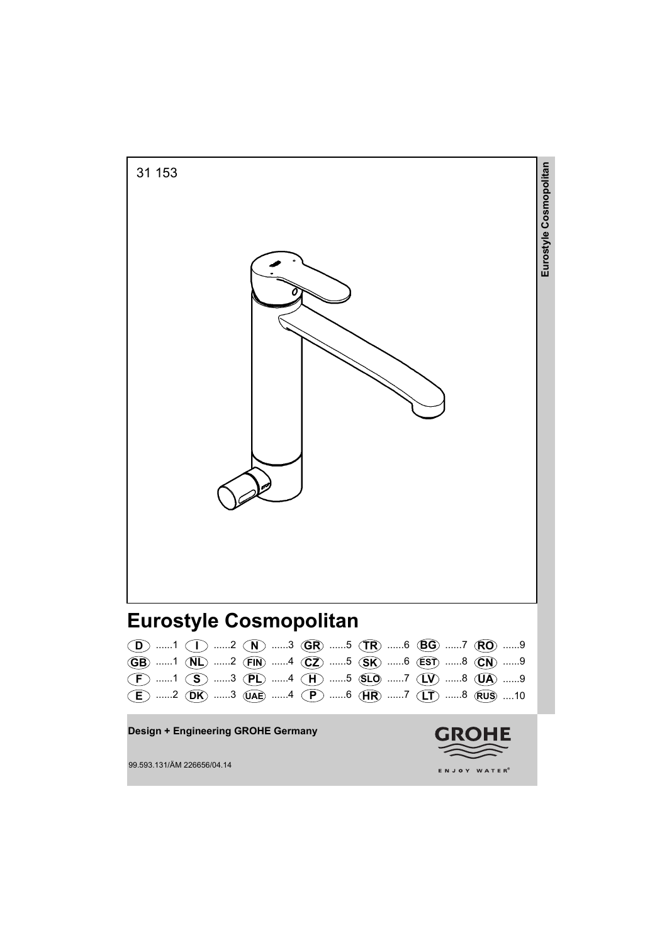

|  | $\langle \mathbf{D} \rangle$ $\langle \mathbf{D} \rangle$ $\langle \mathbf{D} \rangle$ $\langle \mathbf{D} \rangle$ $\langle \mathbf{D} \rangle$ $\langle \mathbf{D} \rangle$ |  |  |  |  |  |
|--|-------------------------------------------------------------------------------------------------------------------------------------------------------------------------------|--|--|--|--|--|
|  | GB) 1 (NL) 2 (FIN) 4 (CZ) 5 (SK) 6 (EST) 8 (CN) 9                                                                                                                             |  |  |  |  |  |
|  | $(F)$ 1 (S) 3 (PL) 4 (H) 5 (SLO 7 (LV) 8 (LA) 9                                                                                                                               |  |  |  |  |  |
|  | $(E)$ 2 (DK) 3 (JAE) 4 (P) 6 (HR) 7 (LT) 8 (RUS) 10                                                                                                                           |  |  |  |  |  |

**Design + Engineering GROHE Germany**



99.593.131/ÄM 226656/04.14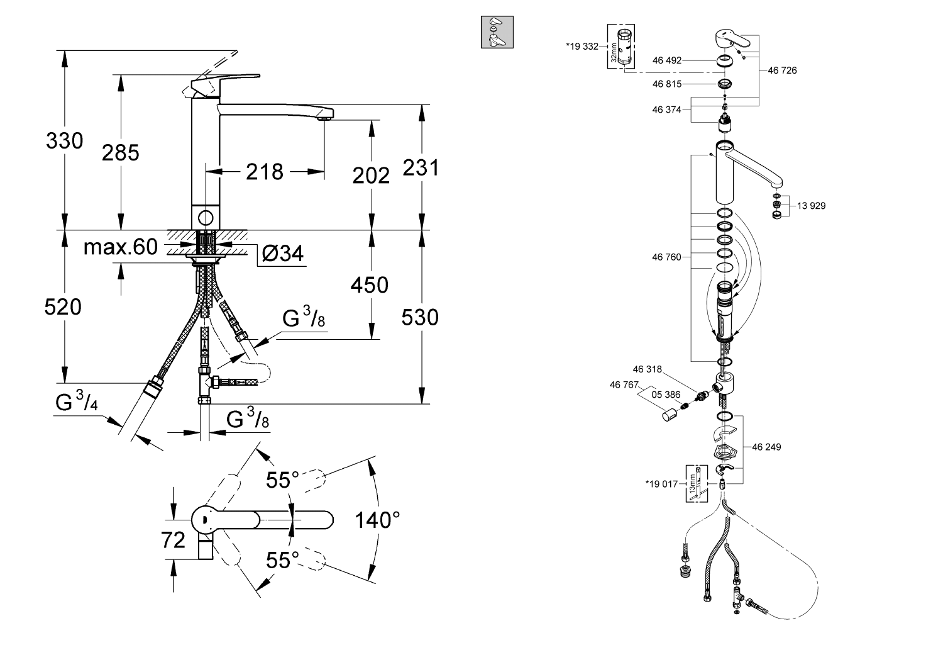



**Bol**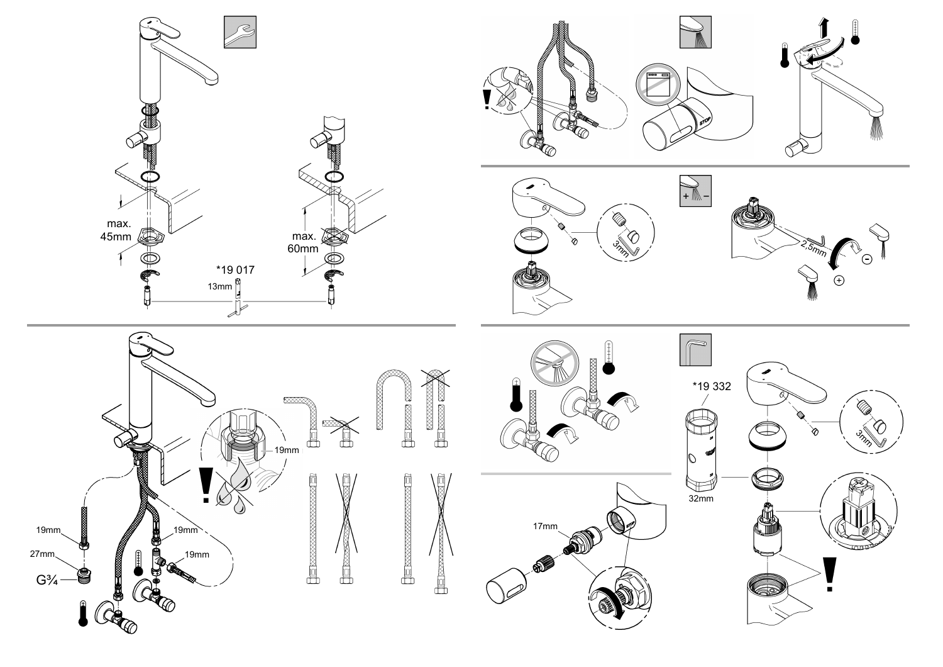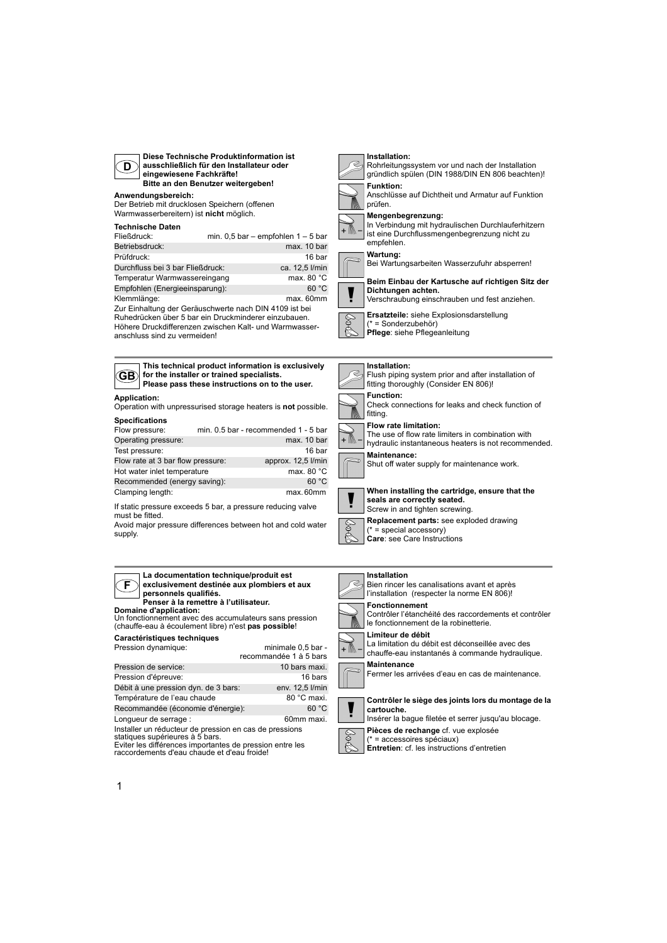

**Diese Technische Produktinformation ist ausschließlich für den Installateur oder eingewiesene Fachkräfte! Bitte an den Benutzer weitergeben!**

#### **Anwendungsbereich:**

Der Betrieb mit drucklosen Speichern (offenen Warmwasserbereitern) ist **nicht** möglich.

#### **Technische Daten**

| Fließdruck:                                            | min. $0.5$ bar – empfohlen $1 - 5$ bar |
|--------------------------------------------------------|----------------------------------------|
| Betriebsdruck:                                         | max. 10 bar                            |
| Prüfdruck:                                             | 16 bar                                 |
| Durchfluss bei 3 bar Fließdruck:                       | ca. 12,5 l/min                         |
| Temperatur Warmwassereingang                           | max. 80 $^{\circ}$ C                   |
| Empfohlen (Energieeinsparung):                         | 60 °C                                  |
| Klemmlänge:                                            | max. 60mm                              |
| Zur Einhaltung der Geräuschwerte nach DIN 4109 ist bei |                                        |
| Ruhedrücken über 5 bar ein Druckminderer einzubauen.   |                                        |

Höhere Druckdifferenzen zwischen Kalt- und Warmwasseranschluss sind zu vermeiden!



**Installation:**

prüfen.







#### **Mengenbegrenzung:**

In Verbindung mit hydraulischen Durchlauferhitzern ist eine Durchflussmengenbegrenzung nicht zu empfehlen.

#### **Wartung:**

Bei Wartungsarbeiten Wasserzufuhr absperren!



#### **Beim Einbau der Kartusche auf richtigen Sitz der Dichtungen achten.**

- Verschraubung einschrauben und fest anziehen.
- **Ersatzteile:** siehe Explosionsdarstellung
- (\* = Sonderzubehör)
- \$ **Pflege**: siehe Pflegeanleitung

#### **Installation:**



Screw in and tighten screwing.



**Care**: see Care Instructions

#### **Installation**

#### Bien rincer les canalisations avant et après l'installation (respecter la norme EN 806)!



\$

**Fonctionnement** Contrôler l'étanchéité des raccordements et contrôler

le fonctionnement de la robinetterie.

#### **Limiteur de débit**

La limitation du débit est déconseillée avec des chauffe-eau instantanés à commande hydraulique. **Maintenance**

Fermer les arrivées d'eau en cas de maintenance.



**Contrôler le siège des joints lors du montage de la cartouche.**

Insérer la bague filetée et serrer jusqu'au blocage.

**Pièces de rechange** cf. vue explosée



(\* = accessoires spéciaux) **Entretien**: cf. les instructions d'entretien

# **GB**

**Application: Please pass these instructions on to the user.**

Operation with unpressurised storage heaters is **not** possible. **Specifications**

**for the installer or trained specialists.**

| opoomouuono                       |                                      |
|-----------------------------------|--------------------------------------|
| Flow pressure:                    | min. 0.5 bar - recommended 1 - 5 bar |
| Operating pressure:               | max. 10 bar                          |
| Test pressure:                    | 16 bar                               |
| Flow rate at 3 bar flow pressure: | approx. 12,5 l/min                   |
| Hot water inlet temperature       | max. 80 $^{\circ}$ C                 |
| Recommended (energy saving):      | 60 °C                                |
| Clamping length:                  | max.60mm                             |

If static pressure exceeds 5 bar, a pressure reducing valve must be fitted.

Avoid major pressure differences between hot and cold water supply.

#### **F La documentation technique/produit est exclusivement destinée aux plombiers et aux personnels qualifiés.**

# **Domaine d'application: Penser à la remettre à l'utilisateur.**

Un fonctionnement avec des accumulateurs sans pression (chauffe-eau à écoulement libre) n'est **pas possible**!

#### **Caractéristiques techniques**

| Pression dynamique:                                                                                       | minimale 0,5 bar -<br>recommandée 1 à 5 bars |
|-----------------------------------------------------------------------------------------------------------|----------------------------------------------|
| Pression de service:                                                                                      | 10 bars maxi.                                |
| Pression d'épreuve:                                                                                       | 16 bars                                      |
| Débit à une pression dyn. de 3 bars:                                                                      | env. 12,5 l/min                              |
| Température de l'eau chaude                                                                               | 80 °C maxi.                                  |
| Recommandée (économie d'énergie):                                                                         | 60 °C                                        |
| Lonqueur de serrage :                                                                                     | 60mm maxi.                                   |
| Installer un réducteur de pression en cas de pressions<br>$\lambda$ Fetiausa aunáriausan $\lambda$ E hara |                                              |

statiques supérieures à 5 bars. Eviter les différences importantes de pression entre les

raccordements d'eau chaude et d'eau froide!

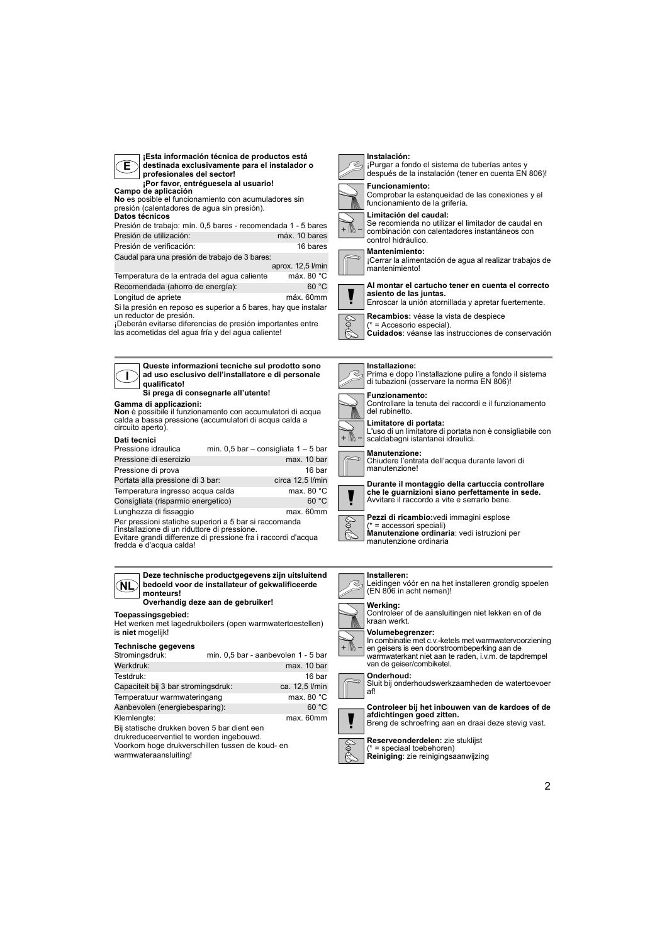| ¡Esta información técnica de productos está<br>E<br>destinada exclusivamente para el instalador o<br>profesionales del sector!<br>¡Por favor, entréguesela al usuario!<br>Campo de aplicación<br>No es posible el funcionamiento con acumuladores sin<br>presión (calentadores de aqua sin presión).<br>Datos técnicos<br>Presión de trabajo: mín. 0,5 bares - recomendada 1 - 5 bares<br>Presión de utilización:<br>máx. 10 bares<br>Presión de verificación:<br>16 bares<br>Caudal para una presión de trabajo de 3 bares:<br>aprox. 12,5 l/min<br>Temperatura de la entrada del aqua caliente<br>máx. 80 °C<br>60 °C<br>Recomendada (ahorro de energía):<br>máx. 60mm<br>Longitud de apriete<br>Si la presión en reposo es superior a 5 bares, hay que instalar<br>un reductor de presión.<br>¡Deberán evitarse diferencias de presión importantes entre<br>las acometidas del aqua fría y del aqua caliente! | Instalación:<br>¡Purgar a fondo el sistema de tuberías antes y<br>después de la instalación (tener en cuenta EN 806)!<br><b>Funcionamiento:</b><br>Comprobar la estangueidad de las conexiones y el<br>funcionamiento de la grifería.<br>Limitación del caudal:<br>Se recomienda no utilizar el limitador de caudal en<br>combinación con calentadores instantáneos con<br>control hidráulico.<br><b>Mantenimiento:</b><br>¡Cerrar la alimentación de aqua al realizar trabajos de<br>mantenimiento!<br>Al montar el cartucho tener en cuenta el correcto<br>asiento de las juntas.<br>Enroscar la unión atornillada y apretar fuertemente.<br>Recambios: véase la vista de despiece<br>$(* = Accessorio$ especial).<br>Cuidados: véanse las instrucciones de conservación        |
|------------------------------------------------------------------------------------------------------------------------------------------------------------------------------------------------------------------------------------------------------------------------------------------------------------------------------------------------------------------------------------------------------------------------------------------------------------------------------------------------------------------------------------------------------------------------------------------------------------------------------------------------------------------------------------------------------------------------------------------------------------------------------------------------------------------------------------------------------------------------------------------------------------------|-----------------------------------------------------------------------------------------------------------------------------------------------------------------------------------------------------------------------------------------------------------------------------------------------------------------------------------------------------------------------------------------------------------------------------------------------------------------------------------------------------------------------------------------------------------------------------------------------------------------------------------------------------------------------------------------------------------------------------------------------------------------------------------|
| Queste informazioni tecniche sul prodotto sono<br>ad uso esclusivo dell'installatore e di personale<br>qualificato!<br>Si prega di consegnarle all'utente!<br>Gamma di applicazioni:<br>Non è possibile il funzionamento con accumulatori di acqua<br>calda a bassa pressione (accumulatori di acqua calda a<br>circuito aperto).<br>Dati tecnici<br>Pressione idraulica<br>min. $0,5$ bar – consigliata $1-5$ bar<br>max. 10 bar<br>Pressione di esercizio<br>Pressione di prova<br>16 bar<br>circa 12,5 l/min<br>Portata alla pressione di 3 bar:<br>Temperatura ingresso acqua calda<br>max. 80 $^{\circ}$ C<br>60 °C<br>Consigliata (risparmio energetico)<br>Lunghezza di fissaggio<br>max. 60mm<br>Per pressioni statiche superiori a 5 bar si raccomanda<br>l'installazione di un riduttore di pressione.<br>Evitare grandi differenze di pressione fra i raccordi d'acqua<br>fredda e d'acqua calda!     | Installazione:<br>Prima e dopo l'installazione pulire a fondo il sistema<br>di tubazioni (osservare la norma EN 806)!<br><b>Funzionamento:</b><br>Controllare la tenuta dei raccordi e il funzionamento<br>del rubinetto.<br>Limitatore di portata:<br>L'uso di un limitatore di portata non è consigliabile con<br>+ ////<br>scaldabagni istantanei idraulici.<br><b>Manutenzione:</b><br>Chiudere l'entrata dell'acqua durante lavori di<br>manutenzione!<br>Durante il montaggio della cartuccia controllare<br>che le guarnizioni siano perfettamente in sede.<br>Avvitare il raccordo a vite e serrarlo bene.<br>Pezzi di ricambio: vedi immagini esplose<br>E)<br>$(* = \text{accessori special})$<br>Manutenzione ordinaria: vedi istruzioni per<br>manutenzione ordinaria |
| Deze technische productgegevens zijn uitsluitend<br>bedoeld voor de installateur of gekwalificeerde<br>ÑĽ<br>monteurs!<br>Overhandig deze aan de gebruiker!<br>Toepassingsgebied:<br>Het werken met lagedrukboilers (open warmwatertoestellen)                                                                                                                                                                                                                                                                                                                                                                                                                                                                                                                                                                                                                                                                   | Installeren:<br>Leidingen vóór en na het installeren grondig spoelen<br>(EN 806 in acht nemen)!<br>Werking:<br>Controleer of de aansluitingen niet lekken en of de<br>kraan werkt.                                                                                                                                                                                                                                                                                                                                                                                                                                                                                                                                                                                                |

Het werken met lagedrukboilers (open warmwatertoestellen) is **niet** mogelijk!

#### **Technische gegevens**

| <b>ICOUND ACACAGIO</b>                                                                  |                                     |                |
|-----------------------------------------------------------------------------------------|-------------------------------------|----------------|
| Stromingsdruk:                                                                          | min. 0,5 bar - aanbevolen 1 - 5 bar |                |
| Werkdruk:                                                                               |                                     | max. 10 bar    |
| Testdruk:                                                                               |                                     | 16 bar         |
| Capaciteit bij 3 bar stromingsdruk:                                                     |                                     | ca. 12,5 l/min |
| Temperatuur warmwateringang                                                             |                                     | max. 80 °C     |
| Aanbevolen (energiebesparing):                                                          |                                     | 60 °C          |
| Klemlengte:                                                                             |                                     | max. 60mm      |
| Bij statische drukken boven 5 bar dient een<br>drukreduceerventiel te worden ingebouwd. |                                     |                |

drukreduceerventiel te worden ingebouwd. Voorkom hoge drukverschillen tussen de koud- en

warmwateraansluiting!

# $\widetilde{\preccurlyeq}$

**Volumebegrenzer:**<br>In combinatie met c.v.-ketels met warmwatervoorziening<br>en geisers is een doorstroombeperking aan de<br>warmwaterkant niet aan te raden, i.v.m. de tapdrempel<br>van de geiser/combiketel.





**Boll** 

**Reserveonderdelen:** zie stuklijst (\* = speciaal toebehoren) **Reiniging**: zie reinigingsaanwijzing

2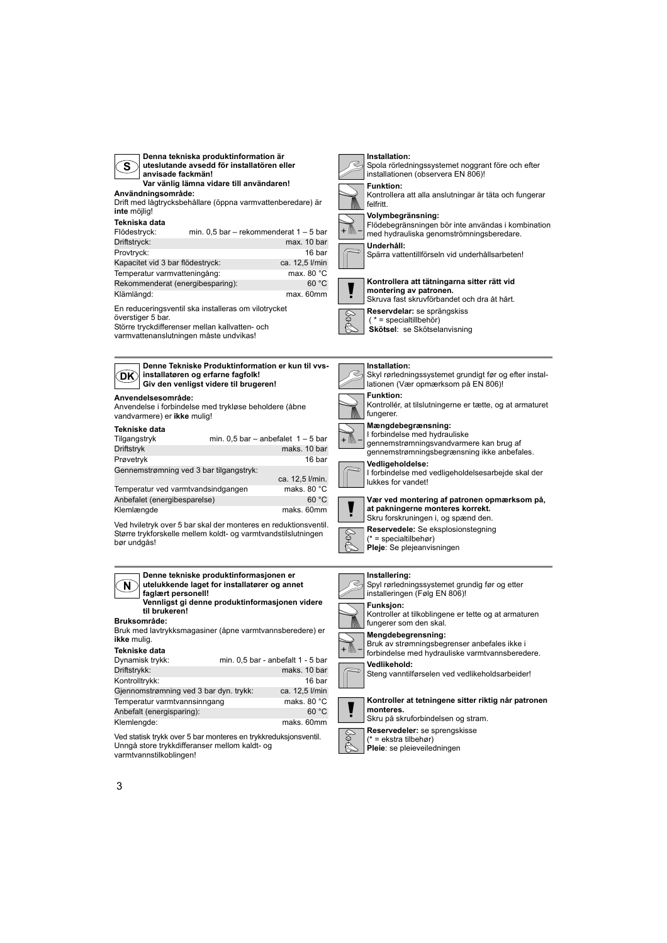| Denna tekniska produktinformation är<br>uteslutande avsedd för installatören eller<br>S.<br>anvisade fackmän!<br>Var vänlig lämna vidare till användaren!<br>Användningsområde:<br>Drift med lågtrycksbehållare (öppna varmvattenberedare) är<br>inte möjlig!<br>Tekniska data<br>min. $0,5$ bar – rekommenderat $1 - 5$ bar<br>Flödestryck:<br>Driftstryck:<br>max. 10 bar<br>Provtryck:<br>16 bar<br>Kapacitet vid 3 bar flödestryck:<br>ca. 12,5 l/min<br>Temperatur varmvatteningång:<br>max. 80 $^{\circ}$ C<br>Rekommenderat (energibesparing):<br>60 °C<br>Klämlängd:<br>max. 60mm<br>En reduceringsventil ska installeras om vilotrycket<br>överstiger 5 bar.<br>Större tryckdifferenser mellan kallvatten- och<br>varmvattenanslutningen måste undvikas! | Installation:<br>Spola rörledningssystemet noggrant före och efter<br>installationen (observera EN 806)!<br><b>Funktion:</b><br>Kontrollera att alla anslutningar är täta och fungerar<br>felfritt.<br>Volymbegränsning:<br>Flödebegränsningen bör inte användas i kombination<br>med hydrauliska genomströmningsberedare.<br>Underhåll:<br>Spärra vattentillförseln vid underhållsarbeten!<br>Kontrollera att tätningarna sitter rätt vid<br>montering av patronen.<br>Skruva fast skruvförbandet och dra åt hårt.<br>Reservdelar: se sprängskiss<br>$(* = specialtilbeb)$<br>Skötsel: se Skötselanvisning       |
|-------------------------------------------------------------------------------------------------------------------------------------------------------------------------------------------------------------------------------------------------------------------------------------------------------------------------------------------------------------------------------------------------------------------------------------------------------------------------------------------------------------------------------------------------------------------------------------------------------------------------------------------------------------------------------------------------------------------------------------------------------------------|-------------------------------------------------------------------------------------------------------------------------------------------------------------------------------------------------------------------------------------------------------------------------------------------------------------------------------------------------------------------------------------------------------------------------------------------------------------------------------------------------------------------------------------------------------------------------------------------------------------------|
| Denne Tekniske Produktinformation er kun til vvs-<br>installatøren og erfarne fagfolk!<br>DK)<br>Giv den venligst videre til brugeren!<br>Anvendelsesområde:<br>Anvendelse i forbindelse med trykløse beholdere (åbne                                                                                                                                                                                                                                                                                                                                                                                                                                                                                                                                             | Installation:<br>Skyl rørledningssystemet grundigt før og efter instal-<br>lationen (Vær opmærksom på EN 806)!<br><b>Funktion:</b><br>Kontrollér, at tilslutningerne er tætte, og at armaturet<br>fungerer.                                                                                                                                                                                                                                                                                                                                                                                                       |
| vandvarmere) er ikke mulig!<br>Tekniske data<br>Tilgangstryk<br>min. $0,5$ bar – anbefalet $1 - 5$ bar<br>Driftstryk<br>maks. 10 bar<br>Prøvetryk<br>16 bar<br>Gennemstrømning ved 3 bar tilgangstryk:<br>ca. 12,5 l/min.<br>maks. 80 °C<br>Temperatur ved varmtvandsindgangen<br>60 °C<br>Anbefalet (energibesparelse)<br>Klemlængde<br>maks. 60mm<br>Ved hviletryk over 5 bar skal der monteres en reduktionsventil.<br>Større trykforskelle mellem koldt- og varmtvandstilslutningen<br>bør undgås!                                                                                                                                                                                                                                                            | Mængdebegrænsning:<br>I forbindelse med hydrauliske<br>gennemstrømningsvandvarmere kan brug af<br>gennemstrømningsbegrænsning ikke anbefales.<br>Vedligeholdelse:<br>I forbindelse med vedligeholdelsesarbejde skal der<br>lukkes for vandet!<br>Vær ved montering af patronen opmærksom på,<br>at pakningerne monteres korrekt.<br>Skru forskruningen i, og spænd den.<br>Reservedele: Se eksplosionstegning<br>$(* = specialtilbehor)$<br>Pleje: Se plejeanvisningen                                                                                                                                            |
| Denne tekniske produktinformasjonen er<br>utelukkende laget for installatører og annet<br>N.<br>faglært personell!<br>Vennligst gi denne produktinformasjonen videre<br>til brukeren!<br><b>Bruksområde:</b><br>Bruk med lavtrykksmagasiner (åpne varmtvannsberedere) er<br>ikke mulig.<br><b>Tekniske data</b><br>Dynamisk trykk:<br>min. 0,5 bar - anbefalt 1 - 5 bar<br>Driftstrykk:<br>maks. 10 bar<br>Kontrolltrykk:<br>16 bar<br>Gjennomstrømning ved 3 bar dyn. trykk:<br>ca. 12,5 l/min<br>Temperatur varmtvannsinngang<br>maks. 80 °C<br>Anbefalt (energisparing):<br>60 °C<br>Klemlengde:<br>maks. 60mm<br>Ved statisk trykk over 5 bar monteres en trykkreduksjonsventil.<br>Unngå store trykkdifferanser mellom kaldt- og<br>varmtvannetilkohlingenl  | Installering:<br>Spyl rørledningssystemet grundig før og etter<br>installeringen (Følg EN 806)!<br><b>Funksjon:</b><br>Kontroller at tilkoblingene er tette og at armaturen<br>fungerer som den skal.<br>Mengdebegrensning:<br>Bruk av strømningsbegrenser anbefales ikke i<br>+ /   ∖ –<br>forbindelse med hydrauliske varmtvannsberedere.<br>Vedlikehold:<br>Steng vanntilførselen ved vedlikeholdsarbeider!<br>Kontroller at tetningene sitter riktig når patronen<br>monteres.<br>Skru på skruforbindelsen og stram.<br>Reservedeler: se sprengskisse<br>(* = ekstra tilbehør)<br>Pleie: se pleieveiledningen |

varmtvannstilkoblingen!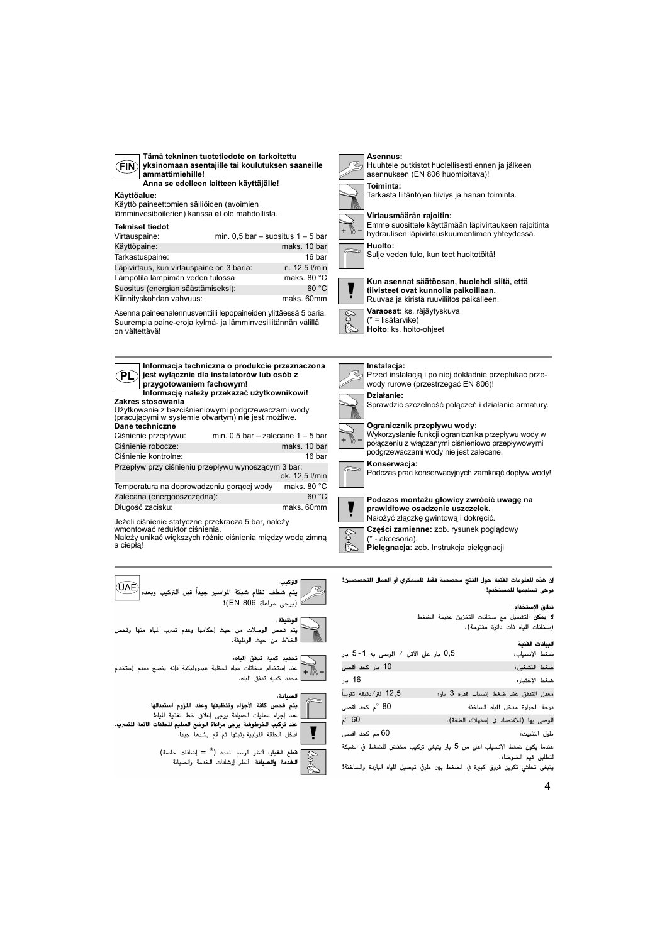| v |
|---|
|---|

**Tämä tekninen tuotetiedote on tarkoitettu yksinomaan asentajille tai koulutuksen saaneille ammattimiehille! Anna se edelleen laitteen käyttäjälle!**

#### **Käyttöalue:**

**Dane techniczne**

Długość zacisku:

**PL**

a ciepłą!

UAE

Käyttö paineettomien säiliöiden (avoimien lämminvesiboilerien) kanssa **ei** ole mahdollista.

#### **Tekniset tiedot**

| TERITJEL LIEUVL                           |                                       |
|-------------------------------------------|---------------------------------------|
| Virtauspaine:                             | min. $0.5$ bar - suositus $1 - 5$ bar |
| Käyttöpaine:                              | maks, 10 bar                          |
| Tarkastuspaine:                           | 16 bar                                |
| Läpivirtaus, kun virtauspaine on 3 baria: | n. 12,5 l/min                         |
| Lämpötila lämpimän veden tulossa          | maks, 80 °C                           |
| Suositus (energian säästämiseksi):        | 60 °C                                 |
| Kiinnityskohdan vahvuus:                  | maks. 60mm                            |

Asenna paineenalennusventtiili lepopaineiden ylittäessä 5 baria. Suurempia paine-eroja kylmä- ja lämminvesiliitännän välillä on vältettävä!

> **Informacja techniczna o produkcie przeznaczona jest wyłącznie dla instalatorów lub osób z**

**Informację należy przekazać użytkownikowi!**

Ciśnienie przepływu: min. 0,5 bar – zalecane 1 – 5 bar Ciśnienie robocze: maks. 10 bar Ciśnienie kontrolne: 16 bar Przepływ przy ciśnieniu przepływu wynoszącym 3 bar:

**Zakres stosowania** Użytkowanie z bezciśnieniowymi podgrzewaczami wody (pracującymi w systemie otwartym) **nie** jest możliwe.

**przygotowaniem fachowym!**

**Asennus:** Huuhtele putkistot huolellisesti ennen ja jälkeen asennuksen (EN 806 huomioitava)! **Toiminta:** Tarkasta liitäntöjen tiiviys ja hanan toiminta. **Virtausmäärän rajoitin:** + M **Huolto:**

Emme suosittele käyttämään läpivirtauksen rajoitinta hydraulisen läpivirtauskuumentimen yhteydessä.

Sulje veden tulo, kun teet huoltotöitä!



**Kun asennat säätöosan, huolehdi siitä, että tiivisteet ovat kunnolla paikoillaan.** Ruuvaa ja kiristä ruuviliitos paikalleen. **Varaosat:** ks. räjäytyskuva



(\* = lisätarvike)

**Hoito**: ks. hoito-ohjeet

#### **Instalacja:**



**Podczas montażu głowicy zwrócić uwagę na** 



#### Nałożyć złączkę gwintową i dokręcić. **Części zamienne:** zob. rysunek poglądowy

- akcesoria). **Pielęgnacja**: zob. Instrukcja pielęgnacji

إن هذه العلومات الفنية حول النتج مخصصة فقط للسمكري أو العمال التخصصين! يرجى تسليمها للمستخدم!

#### نطاق الإستخدام،

لا يمكن التشغيل مع سخانات التخزين عديمة الضغط (سخانات المياه ذات دائرة مفتوحة).

| السانات الفنية |
|----------------|

| 0,5 بار على الأقل / الموصى به 1-5 بار |                                         | ضغط الإنسياب: |
|---------------------------------------|-----------------------------------------|---------------|
| 10 بار كحد أقصى                       |                                         | ضغط التشغيل:  |
| 16 بار                                |                                         | ضغط الإختبار: |
| 12,5 لتر⁄دقيقة تقريباً                | معدل التدفق عند ضغط إنسياب قدره 3 بار:  |               |
| م كحد أقصى $^{\circ}$ 80              | .رجة الحرارة مدخل المياه الساخنة        |               |
| $^{\circ}$ 60                         | لموصى بها (للاقتصاد في إستهلاك الطاقة): |               |
| 60 مم کحد أقصى                        |                                         | طول التثبيت:  |
|                                       |                                         |               |

عندما يكون ضغط الإنسياب أعلى من 5 بار ينبغي تركيب مخفض للضغط في الشبكة لتطابق قيم الضوضاء.

.<br>ينبغي تحاشي تكوين فروق كبيرة في الضغط بين طرفي توصيل المياه الباردة والساخنة!



الوظىفة :

التركيب:

7

ok. 12,5 l/min

يتم فحص الوصلات من حيث إحكامها وعدم تسرب المياه منها وفحص الخلاط من حيث الوظيفة.

Jeżeli ciśnienie statyczne przekracza 5 bar, należy

wmontować reduktor ciśnienia. Należy unikać większych różnic ciśnienia między wodą zimną

.<br>يتم شطف نظام شبكة الواسير جيداً قبل التركيب وبعد

Temperatura na doprowadzeniu gorącej wody maks. 80 °C Zalecana (energooszczędna): 60 °C



(يرجى مراعاة EN 806)!

تحديد كمية تدفق اللياه:<br>- هند إستخدام سخانات مياه لحظية هيدروليكية فإنه ينصح بعدم إستخدام<br>- محدد كمية تدفق اللياد.



## يتم فحص كافة الأجزاء وتنظيفها وعند اللزوم استبدالها. \_ عند إجراء عمليات الصيانة يرجى إغلاق خط تغذية المياه!

أدخل الحلقة اللولبية وثبتها ثم قم بشدها جيدا.



قطع الغيار: أنظر الرسم المدد (\* = إضافات خاصة)<br>توفيد من المنتخب المداد المدد المناسبة الخدمة والصيانة. أنظر إرشادات الخدمة والصيانة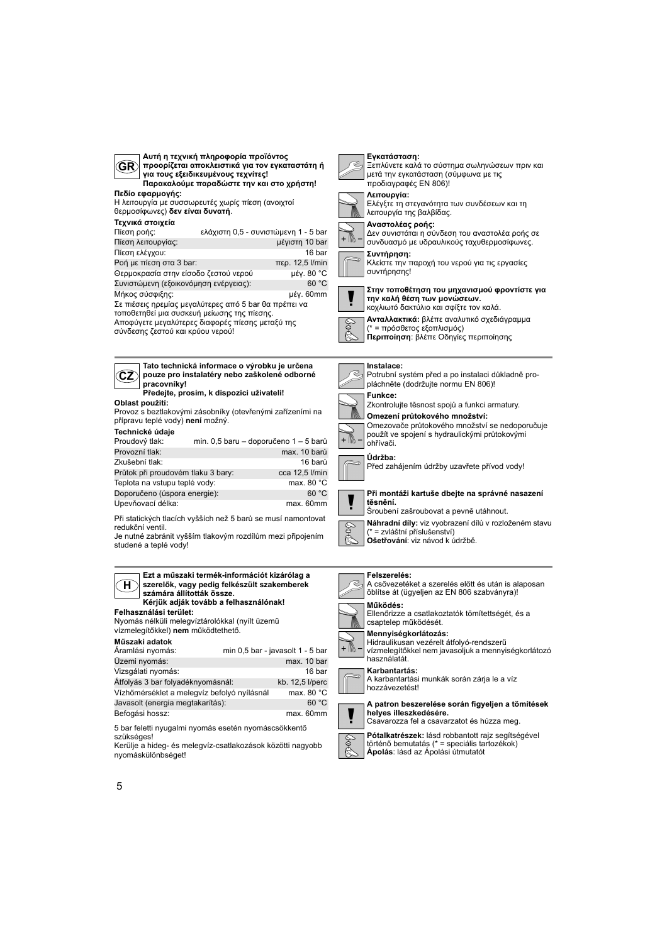

szükséges! Kerülje a hideg- és melegvíz-csatlakozások közötti nagyobb nyomáskülönbséget!

**Pótalkatrészek:** lásd robbantott rajz segítségével történő bemutatás (\* = speciális tartozékok) **Ápolás**: lásd az Ápolási útmutatót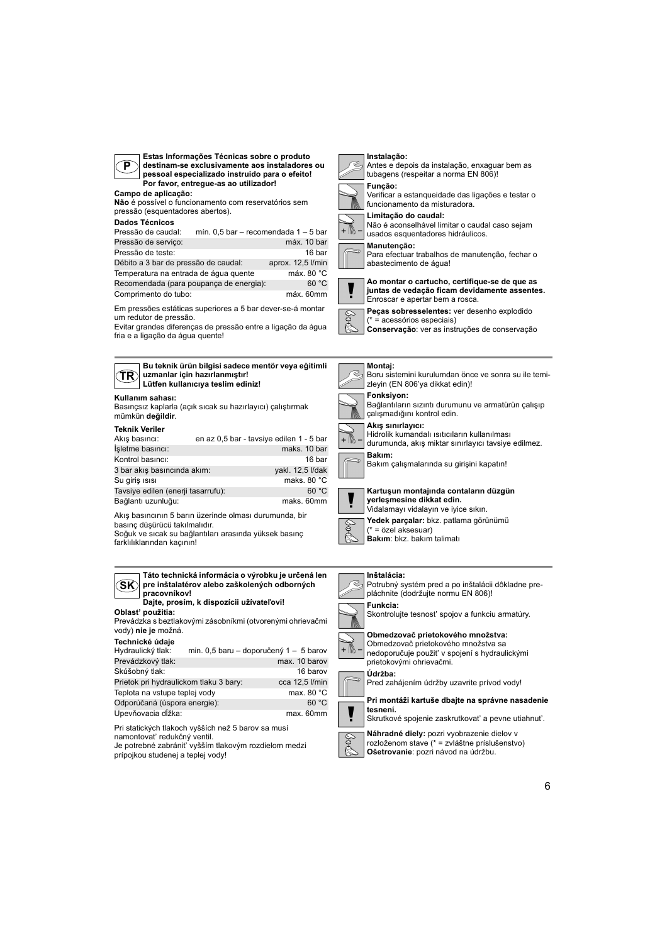

**Estas Informações Técnicas sobre o produto destinam-se exclusivamente aos instaladores ou pessoal especializado instruido para o efeito! Por favor, entregue-as ao utilizador!**

**Campo de aplicação: Não** é possível o funcionamento com reservatórios sem

pressão (esquentadores abertos).

#### **Dados Técnicos**

**Kullanım sahası:**

**TR**

mümkün **değildir**. **Teknik Veriler**

| Pressão de caudal:                      | mín. 0,5 bar - recomendada 1 - 5 bar |                   |
|-----------------------------------------|--------------------------------------|-------------------|
| Pressão de serviço:                     |                                      | máx. 10 bar       |
| Pressão de teste:                       |                                      | 16 bar            |
| Débito a 3 bar de pressão de caudal:    |                                      | aprox. 12,5 l/min |
| Temperatura na entrada de áqua quente   |                                      | máx. 80 °C        |
| Recomendada (para poupança de energia): |                                      | 60 °C             |
| Comprimento do tubo:                    |                                      | máx. 60mm         |

Em pressões estáticas superiores a 5 bar dever-se-á montar um redutor de pressão.

Evitar grandes diferenças de pressão entre a ligação da água fria e a ligação da água quente!

Akış basıncı: en az 0,5 bar - tavsiye edilen 1 - 5 bar İşletme basıncı: maks. 10 bar Kontrol basıncı: 16 bar 3 bar akış basıncında akım: yakl. 12,5 l/dak Su giriş ısısı maks. 80 °C Tavsiye edilen (enerji tasarrufu): 60 °C

**uzmanlar için hazırlanmıştır! Lütfen kullanıcıya teslim ediniz!**

**Bu teknik ürün bilgisi sadece mentör veya eğitimli** 



#### Antes e depois da instalação, enxaguar bem as tubagens (respeitar a norma EN 806)!





funcionamento da misturadora. **Limitação do caudal:**



#### **Manutenção:**

Para efectuar trabalhos de manutenção, fechar o abastecimento de água!



**Ao montar o cartucho, certifique-se de que as juntas de vedação ficam devidamente assentes.** Enroscar e apertar bem a rosca.

**Peças sobresselentes:** ver desenho explodido

(\* = acessórios especiais) **Conservação**: ver as instruções de conservação









Hidrolik kumandalı ısıtıcıların kullanılması durumunda, akış miktar sınırlayıcı tavsiye edilmez. **Bakım:**

Bakım çalışmalarında su girişini kapatın!



#### **Kartuşun montajında contaların düzgün yerleşmesine dikkat edin.**





Vidalamayı vidalayın ve iyice sıkın. **Yedek parçalar:** bkz. patlama görünümü

#### **Inštalácia:**

Potrubný systém pred a po inštalácii dôkladne prepláchnite (dodržujte normu EN 806)! **Funkcia:**

Skontrolujte tesnost' spojov a funkciu armatúry.



\$

#### Obmedzovač prietokového množstva sa nedoporučuje použit' v spojení s hydraulickými prietokovými ohrievačmi.



Pred zahájením údržby uzavrite prívod vody!

**Pri montáži kartuše dbajte na správne nasadenie tesnení.**

Skrutkové spojenie zaskrutkovat' a pevne utiahnut'.

**Náhradné diely:** pozri vyobrazenie dielov v rozloženom stave (\* = zvláštne príslušenstvo)

**Ošetrovanie**: pozri návod na údržbu.



Akış basıncının 5 barın üzerinde olması durumunda, bir basınç düşürücü takılmalıdır. Bağlantı uzunluğu: maks. 60mm

Soğuk ve sıcak su bağlantıları arasında yüksek basınç farklılıklarından kaçının!

| Táto technická informácia o výrobku je určená len<br>pre inštalatérov alebo zaškolených odborných<br>pracovníkov!<br>Dajte, prosím, k dispozícii užívateľovi! |  |  |  |
|---------------------------------------------------------------------------------------------------------------------------------------------------------------|--|--|--|
| Prevádzka s beztlakovými zásobníkmi (otvorenými ohrievačmi                                                                                                    |  |  |  |
| min. 0,5 baru – doporučený 1 – 5 barov                                                                                                                        |  |  |  |
| max. 10 barov                                                                                                                                                 |  |  |  |
|                                                                                                                                                               |  |  |  |

Skúšobný tlak: 16 barov<br>Prietok pri hydraulickom tlaku 3 bary: cca 12,5 l/min Prietok pri hydraulickom tlaku 3 bary: Teplota na vstupe teplej vody max. 80 °C Odporúčaná (úspora energie): 60 °C Upevňovacia dĺžka: max. 60mm

Pri statických tlakoch vyšších než 5 barov sa musí namontovat' redukčný ventil.

Je potrebné zabránit' vyšším tlakovým rozdielom medzi prípojkou studenej a teplej vody!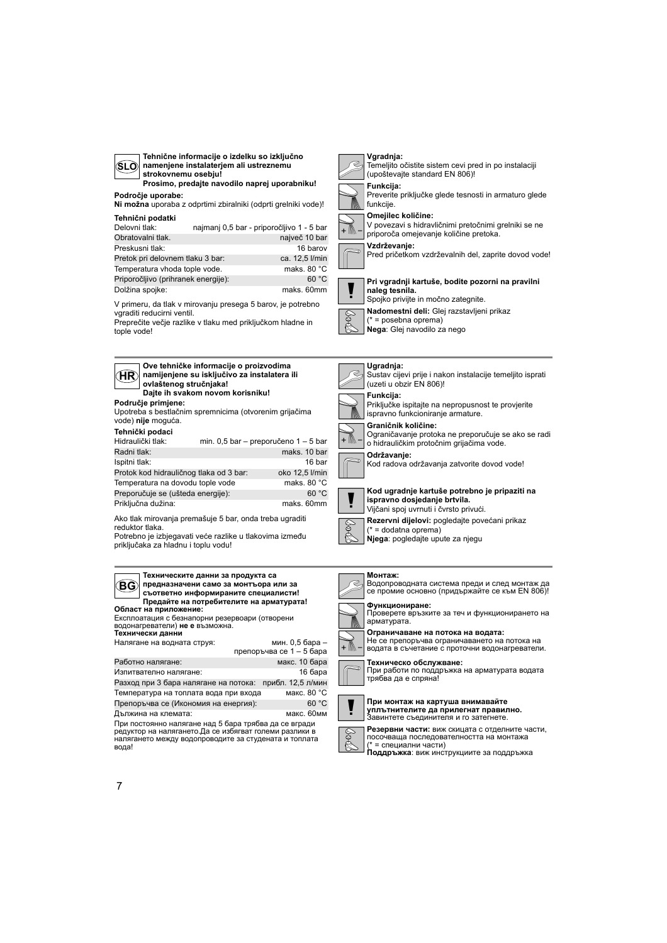| Tehnične informacije o izdelku so izključno<br>namenjene instalaterjem ali ustreznemu<br>(SLÒ<br>strokovnemu osebju!<br>Prosimo, predajte navodilo naprej uporabniku!                                                                                                                                                                                                                                     | Vgradnja:<br>Temeljito očistite sistem cevi pred in po instalaciji<br>(upoštevajte standard EN 806)!<br>Funkcija:                                                                                                                                                                                         |
|-----------------------------------------------------------------------------------------------------------------------------------------------------------------------------------------------------------------------------------------------------------------------------------------------------------------------------------------------------------------------------------------------------------|-----------------------------------------------------------------------------------------------------------------------------------------------------------------------------------------------------------------------------------------------------------------------------------------------------------|
| Področje uporabe:<br>Ni možna uporaba z odprtimi zbiralniki (odprti grelniki vode)!                                                                                                                                                                                                                                                                                                                       | Preverite priključke glede tesnosti in armaturo glede<br>funkcije.                                                                                                                                                                                                                                        |
| Tehnični podatki<br>Delovni tlak:<br>najmanj 0,5 bar - priporočljivo 1 - 5 bar<br>Obratovalni tlak.<br>največ 10 bar<br>16 barov<br>Preskusni tlak:<br>Pretok pri delovnem tlaku 3 bar:<br>ca. 12,5 l/min<br>Temperatura vhoda tople vode.<br>maks, 80 °C<br>60 °C<br>Priporočljivo (prihranek energije):<br>Dolžina spojke:<br>maks. 60mm<br>V primeru, da tlak v mirovanju presega 5 barov, je potrebno | Omejilec količine:<br>V povezavi s hidravličnimi pretočnimi grelniki se ne<br>priporoča omejevanje količine pretoka.<br>Vzdrževanje:<br>Pred pričetkom vzdrževalnih del, zaprite dovod vode!<br>Pri vgradnji kartuše, bodite pozorni na pravilni<br>naleg tesnila.<br>Spojko privijte in močno zategnite. |
| vgraditi reducirni ventil.<br>Preprečite večje razlike v tlaku med priključkom hladne in<br>tople vode!                                                                                                                                                                                                                                                                                                   | Nadomestni deli: Glej razstavljeni prikaz<br>$(* = posebna oprema)$<br>Nega: Glej navodilo za nego                                                                                                                                                                                                        |
| Ove tehničke informacije o proizvodima<br>(HR<br>namijenjene su isključivo za instalatera ili<br>ovlaštenog stručnjaka!<br>Dajte ih svakom novom korisniku!<br>Područje primjene:                                                                                                                                                                                                                         | Ugradnja:<br>Sustav cijevi prije i nakon instalacije temeljito isprati<br>(uzeti u obzir EN 806)!<br>Funkcija:                                                                                                                                                                                            |
| Upotreba s bestlačnim spremnicima (otvorenim grijačima<br>vode) nije moguća.                                                                                                                                                                                                                                                                                                                              | Priključke ispitajte na nepropusnost te provjerite<br>ispravno funkcioniranje armature.<br>Graničnik količine:                                                                                                                                                                                            |
| Tehnički podaci<br>Hidraulički tlak:<br>min. 0,5 bar - preporučeno 1 - 5 bar                                                                                                                                                                                                                                                                                                                              | Ograničavanje protoka ne preporučuje se ako se radi<br>o hidrauličkim protočnim grijačima vode.                                                                                                                                                                                                           |
| Radni tlak:<br>maks. 10 bar<br>16 bar<br>Ispitni tlak:<br>Protok kod hidrauličnog tlaka od 3 bar:<br>oko 12,5 l/min<br>Temperatura na dovodu tople vode<br>maks. 80 $^{\circ}$ C                                                                                                                                                                                                                          | Održavanje:<br>Kod radova održavanja zatvorite dovod vode!                                                                                                                                                                                                                                                |
| Preporučuje se (ušteda energije):<br>60 °C<br>Priključna dužina:<br>maks. 60mm                                                                                                                                                                                                                                                                                                                            | Kod ugradnje kartuše potrebno je pripaziti na<br>ispravno dosjedanje brtvila.<br>Vijčani spoj uvrnuti i čvrsto privući.                                                                                                                                                                                   |
| Ako tlak mirovanja premašuje 5 bar, onda treba ugraditi<br>reduktor tlaka.<br>Potrebno je izbjegavati veće razlike u tlakovima između<br>priključaka za hladnu i toplu vodu!                                                                                                                                                                                                                              | Rezervni dijelovi: pogledajte povećani prikaz<br>$(* =$ dodatna oprema)<br>Njega: pogledajte upute za njegu                                                                                                                                                                                               |
| Техническите данни за продукта са<br>предназначени само за монтъора или за<br>BG)<br>съответно информираните специалисти!<br>Предайте на потребителите на арматурата!                                                                                                                                                                                                                                     | Монтаж:<br>Водопроводната система преди и след монтаж да<br>се промие основно (придържайте се към EN 806)!<br>Функциониране:                                                                                                                                                                              |
| Област на приложение:<br>Експлоатация с безнапорни резервоари (отворени<br>водонагреватели) <b>не е</b> възможна.                                                                                                                                                                                                                                                                                         | Проверете връзките за теч и функционирането на<br>арматурата.                                                                                                                                                                                                                                             |
| Технически данни<br>мин. 0,5 бара -<br>Налягане на водната струя:<br>препоръчва се 1 - 5 бара                                                                                                                                                                                                                                                                                                             | Ограничаване на потока на водата:<br>Не се препоръчва ограничаването на потока на<br>+ ///<br>водата в съчетание с проточни водонагреватели.                                                                                                                                                              |
| макс. 10 бара<br>Работно налягане:<br>Изпитвателно налягане:<br>16 бара<br>Разход при 3 бара налягане на потока: прибл. 12,5 л/мин<br>Температура на топлата вода при входа<br>макс. 80 °С                                                                                                                                                                                                                | Техническо обслужване:<br>При работи по поддръжка на арматурата водата<br>трябва да е спряна!                                                                                                                                                                                                             |
| 60 °C<br>Препоръчва се (Икономия на енергия):<br>макс. 60мм<br>Дължина на клемата:                                                                                                                                                                                                                                                                                                                        | При монтаж на картуша внимавайте<br>уплътнителите да прилегнат правилно.<br>Завинтете съединителя и го затегнете.                                                                                                                                                                                         |
| При постоянно налягане над 5 бара трябва да се вгради<br>редуктор на налягането. Да се избягват големи разлики в<br>налягането между водопроводите за студената и топлата<br>вода!                                                                                                                                                                                                                        | Резервни части: виж скицата с отделните части,<br>посочваща последователността на монтажа<br>(* = специални части)<br>Поддръжка: виж инструкциите за поддръжка                                                                                                                                            |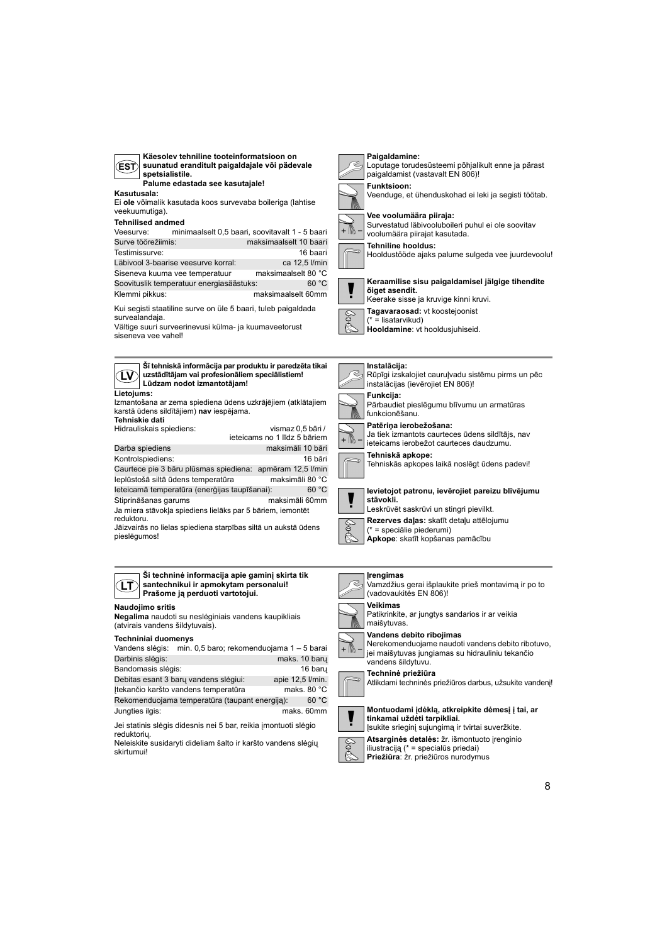| Käesolev tehniline tooteinformatsioon on<br>suunatud eranditult paigaldajale või pädevale<br>EST)<br>spetsialistile.<br>Palume edastada see kasutajale!<br>Kasutusala:<br>Ei ole võimalik kasutada koos survevaba boileriga (lahtise<br>veekuumutiga).<br><b>Tehnilised andmed</b><br>minimaalselt 0,5 baari, soovitavalt 1 - 5 baari<br>Veesurve:<br>Surve töörežiimis:<br>maksimaalselt 10 baari<br>Testimissurve:<br>16 baari<br>Läbivool 3-baarise veesurve korral:<br>ca 12,5 l/min<br>maksimaalselt 80 °C<br>Siseneva kuuma vee temperatuur<br>60 °C<br>Soovituslik temperatuur energiasäästuks:<br>Klemmi pikkus:<br>maksimaalselt 60mm<br>Kui segisti staatiline surve on üle 5 baari, tuleb paigaldada<br>survealandaja. | Paigaldamine:<br>Loputage torudesüsteemi põhjalikult enne ja pärast<br>paigaldamist (vastavalt EN 806)!<br>Funktsioon:<br>Veenduge, et ühenduskohad ei leki ja segisti töötab.<br>Vee voolumäära piiraja:<br>Survestatud läbivooluboileri puhul ei ole soovitav<br>voolumäära piirajat kasutada.<br>Tehniline hooldus:<br>Hooldustööde ajaks palume sulgeda vee juurdevoolu!<br>Keraamilise sisu paigaldamisel jälgige tihendite<br>õiget asendit.<br>Keerake sisse ja kruvige kinni kruvi.<br>Tagavaraosad: vt koostejoonist<br>E<br>V<br>$(* =$ lisatarvikud) |
|-----------------------------------------------------------------------------------------------------------------------------------------------------------------------------------------------------------------------------------------------------------------------------------------------------------------------------------------------------------------------------------------------------------------------------------------------------------------------------------------------------------------------------------------------------------------------------------------------------------------------------------------------------------------------------------------------------------------------------------|-----------------------------------------------------------------------------------------------------------------------------------------------------------------------------------------------------------------------------------------------------------------------------------------------------------------------------------------------------------------------------------------------------------------------------------------------------------------------------------------------------------------------------------------------------------------|
| Vältige suuri surveerinevusi külma- ja kuumaveetorust<br>siseneva vee vahel!                                                                                                                                                                                                                                                                                                                                                                                                                                                                                                                                                                                                                                                      | Hooldamine: vt hooldusjuhiseid.                                                                                                                                                                                                                                                                                                                                                                                                                                                                                                                                 |
| Šī tehniskā informācija par produktu ir paredzēta tikai<br>uzstādītājam vai profesionāliem speciālistiem!<br>ΈV                                                                                                                                                                                                                                                                                                                                                                                                                                                                                                                                                                                                                   | Instalācija:<br>Rūpīgi izskalojiet cauruļvadu sistēmu pirms un pēc                                                                                                                                                                                                                                                                                                                                                                                                                                                                                              |
| Lūdzam nodot izmantotājam!<br>Lietojums:                                                                                                                                                                                                                                                                                                                                                                                                                                                                                                                                                                                                                                                                                          | instalācijas (ievērojiet EN 806)!                                                                                                                                                                                                                                                                                                                                                                                                                                                                                                                               |
|                                                                                                                                                                                                                                                                                                                                                                                                                                                                                                                                                                                                                                                                                                                                   |                                                                                                                                                                                                                                                                                                                                                                                                                                                                                                                                                                 |
| Izmantošana ar zema spiediena ūdens uzkrājējiem (atklātajiem<br>karstā ūdens sildītājiem) nav iespējama.                                                                                                                                                                                                                                                                                                                                                                                                                                                                                                                                                                                                                          | Funkcija:<br>Pārbaudiet pieslēgumu blīvumu un armatūras<br>funkcionēšanu.                                                                                                                                                                                                                                                                                                                                                                                                                                                                                       |
| Tehniskie dati<br>Hidrauliskais spiediens:<br>vismaz 0,5 bāri /<br>ieteicams no 1 līdz 5 bāriem                                                                                                                                                                                                                                                                                                                                                                                                                                                                                                                                                                                                                                   | Patēriņa ierobežošana:<br>Ja tiek izmantots caurteces ūdens sildītājs, nav<br>+ ////<br>ieteicams ierobežot caurteces daudzumu.                                                                                                                                                                                                                                                                                                                                                                                                                                 |
| Darba spiediens<br>maksimāli 10 bāri<br>Kontrolspiediens:<br>16 bāri<br>Caurtece pie 3 bāru plūsmas spiediena: apmēram 12,5 l/min<br>leplūstošā siltā ūdens temperatūra<br>maksimāli 80 °C                                                                                                                                                                                                                                                                                                                                                                                                                                                                                                                                        | Tehniskā apkope:<br>Tehniskās apkopes laikā noslēgt ūdens padevi!                                                                                                                                                                                                                                                                                                                                                                                                                                                                                               |
| leteicamā temperatūra (enerģijas taupīšanai):<br>60 °C<br>Stiprināšanas garums<br>maksimāli 60mm<br>Ja miera stāvokļa spiediens lielāks par 5 bāriem, iemontēt                                                                                                                                                                                                                                                                                                                                                                                                                                                                                                                                                                    | levietojot patronu, ievērojiet pareizu blīvējumu<br>stävokli.<br>Leskrūvēt saskrūvi un stingri pievilkt.                                                                                                                                                                                                                                                                                                                                                                                                                                                        |
| reduktoru.<br>Jāizvairās no lielas spiediena starpības siltā un aukstā ūdens<br>pieslēgumos!                                                                                                                                                                                                                                                                                                                                                                                                                                                                                                                                                                                                                                      | Rezerves daļas: skatīt detaļu attēlojumu<br>& E<br>$(* = specific potential$<br>Apkope: skatīt kopšanas pamācību                                                                                                                                                                                                                                                                                                                                                                                                                                                |



### **Ši techninė informacija apie gaminį skirta tik santechnikui ir apmokytam personalui! Prašome ją perduoti vartotojui.**

#### **Naudojimo sritis**

**Negalima** naudoti su neslėginiais vandens kaupikliais (atvirais vandens šildytuvais).

#### **Techniniai duomenys**

| Vandens slėgis:    | min. 0,5 baro; rekomenduojama 1 - 5 barai      |                  |
|--------------------|------------------------------------------------|------------------|
| Darbinis slėgis:   |                                                | maks. 10 baru    |
| Bandomasis slėgis: |                                                | 16 baru          |
|                    | Debitas esant 3 baru vandens slėgiui:          | apie 12,5 l/min. |
|                    | Itekančio karšto vandens temperatūra           | maks. 80 °C      |
|                    | Rekomenduojama temperatūra (taupant energija): | 60 °C            |
| Jungties ilgis:    |                                                | maks. 60mm       |

Jei statinis slėgis didesnis nei 5 bar, reikia įmontuoti slėgio reduktorių.

Neleiskite susidaryti dideliam šalto ir karšto vandens slėgių skirtumui!

# **Įrengimas** Š

Vamzdžius gerai išplaukite prieš montavimą ir po to (vadovaukitės EN 806)!



**Veikimas** Patikrinkite, ar jungtys sandarios ir ar veikia maišytuvas.

**Vandens debito ribojimas** Nerekomenduojame naudoti vandens debito ribotuvo,



vandens šildytuvu. **Techninė priežiūra**





**Montuodami įdėklą, atkreipkite dėmesį į tai, ar tinkamai uždėti tarpikliai.** Įsukite srieginį sujungimą ir tvirtai suveržkite.



**Atsarginės detalės:** žr. išmontuoto įrenginio iliustraciją (\* = specialūs priedai) **Priežiūra**: žr. priežiūros nurodymus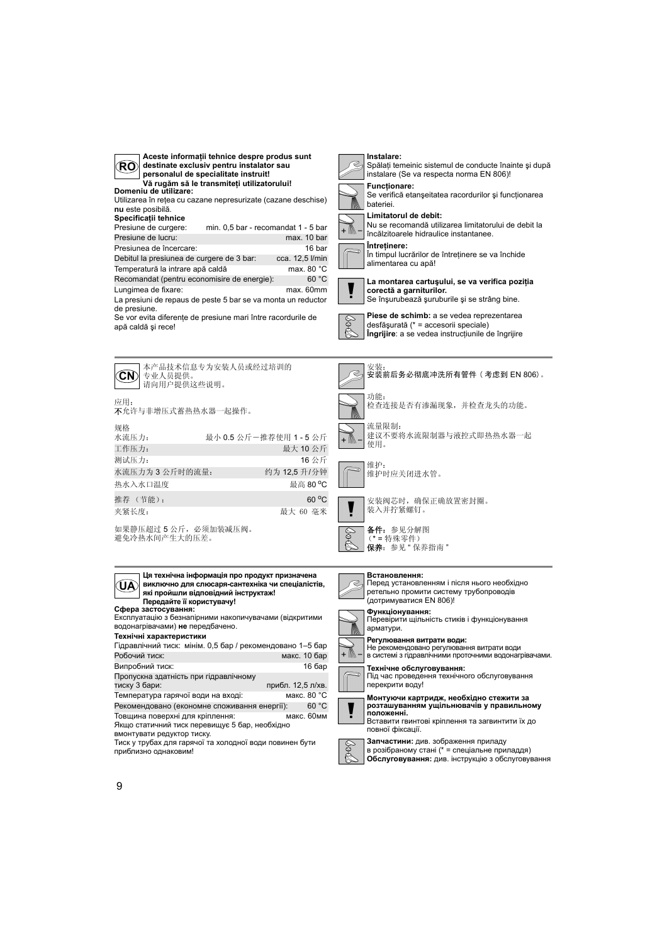|    | Acest        |
|----|--------------|
| O) | destin       |
|    | persor       |
|    | Vă ruc       |
|    | Domeniu de u |

**Aceste informaţii tehnice despre produs sunt destinate exclusiv pentru instalator sau personalul de specialitate instruit!**

**Domeniu de utilizare: Vă rugăm să le transmiteţi utilizatorului!** Utilizarea în reţea cu cazane nepresurizate (cazane deschise)

**nu** este posibilă. **Specificaţii tehnice**

min.  $0.5$  bar - recomandat 1 - 5 bar Presiune de lucru: max. 10 bar Presiunea de încercare: 16 bar Debitul la presiunea de curgere de 3 bar: cca. 12,5 l/min<br>Temperatură la intrare apă caldă max. 80 °C Temperatură la intrare apă caldă Recomandat (pentru economisire de energie): 60 °C

La presiuni de repaus de peste 5 bar se va monta un reductor de presiune. Lungimea de fixare: max. 60mm

Se vor evita diferente de presiune mari între racordurile de apă caldă şi rece!

Якщо статичний тиск перевищує 5 бар, необхідно

Пропускна здатність при гідравлічному

Тиск у трубах для гарячої та холодної води повинен бути

Гідравлічний тиск: мінім. 0,5 бар / рекомендовано 1–5 бар Робочий тиск: макс. 10 бар Випробний тиск: 16 бар

Температура гарячої води на вході: макс. 80 °С<br>Рекоменловано (економне споживання енергії): 60 °С Рекомендовано (економне споживання енергії): 60 °С<br>Товщина поверхні для кріплення: макс. 60мм

вмонтувати редуктор тиску.

Товщина поверхні для кріплення:

приблизно однаковим!



Spălați temeinic sistemul de conducte înainte și după instalare (Se va respecta norma EN 806)!

Se verifică etanşeitatea racordurilor şi funcţionarea bateriei.

Nu se recomandă utilizarea limitatorului de debit la încălzitoarele hidraulice instantanee. **Întreţinere:**

În timpul lucrărilor de întreţinere se va închide alimentarea cu apă!



**La montarea cartuşului, se va verifica poziţia corectă a garniturilor.** Se înşurubează şuruburile şi se strâng bine.



**Piese de schimb:** a se vedea reprezentarea desfăşurată (\* = accesorii speciale) **Îngrijire**: a se vedea instrucţiunile de îngrijire



прибл. 12,5 л/хв.



**Регулювання витрати води:** Не рекомендовано регулювання витрати води в системі з гідравлічними проточними водонагрівачами.

**Технічне обслуговування:** Під час проведення технічного обслуговування перекрити воду!



Вставити гвинтові кріплення та загвинтити їх до повної фіксації.



в розібраному стані (\* = спеціальне приладдя) **Обслуговування:** див. інструкцію з обслуговування

9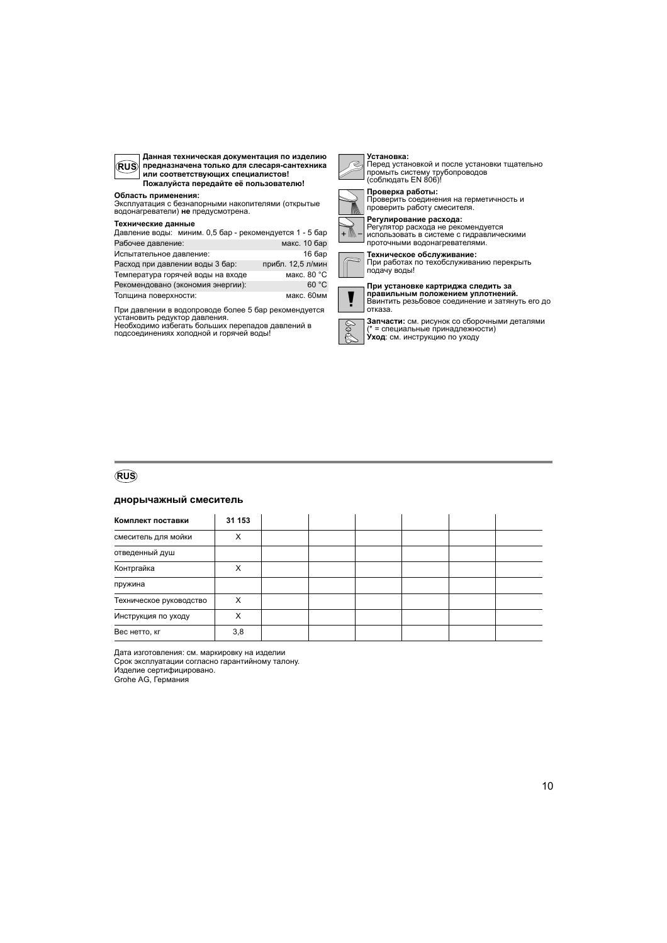

**Данная техническая документация по изделию предназначена только для слесаря-сантехника или соответствующих специалистов! Пожалуйста передайте её пользователю!**

#### **Область применения:**

Эксплуатация с безнапорными накопителями (открытые водонагреватели) **не** предусмотрена.

#### **Технические данные**

| Давление воды: миним. 0,5 бар - рекомендуется 1 - 5 бар |                   |
|---------------------------------------------------------|-------------------|
| Рабочее давление:                                       | макс. 10 бар      |
| Испытательное давление:                                 | 16 бар            |
| Расход при давлении воды 3 бар:                         | прибл. 12,5 л/мин |
| Температура горячей воды на входе                       | макс. 80 °С       |
| Рекомендовано (экономия энергии):                       | 60 °C             |
| Толщина поверхности:                                    | макс. 60мм        |

При давлении в водопроводе более 5 бар рекомендуется<br>установить редуктор давления.<br>Необходимо избегать больших перепадов давлений в<br>подсоединениях холодной и горячей воды!

# Ř

# **Установка:**<br>Перед установкой и после установки тщательно<br>промыть систему трубопроводов<br>(соблюдать EN 806)!



**Проверка работы:** Проверить соединения на герметичность и проверить работу смесителя.



**Регулирование расхода:** Регулятор расхода не рекомендуется использовать в системе с гидравлическими проточными водонагревателями.

**Техническое обслуживание:** При работах по техобслуживанию перекрыть подачу воды!

**При установке картриджа следить за правильным положением уплотнений.** Ввинтить резьбовое соединение и затянуть его до отказа.

POP **Запчасти:** см. рисунок со сборочными деталями (\* = специальные принадлежности) **Уход**: см. инструкцию по уходу

### **RUS**

#### **днорычажный смеситель**

| Комплект поставки       | 31 153 |  |  |  |
|-------------------------|--------|--|--|--|
| смеситель для мойки     | Χ      |  |  |  |
| отведенный душ          |        |  |  |  |
| Контргайка              | x      |  |  |  |
| пружина                 |        |  |  |  |
| Техническое руководство |        |  |  |  |
| Инструкция по уходу     | Χ      |  |  |  |
| Вес нетто, кг           | 3,8    |  |  |  |

Дата изготовления: см. маркировку на изделии

Срок эксплуатации согласно гарантийному талону.

Изделие сертифицировано.

Grohe AG, Германия